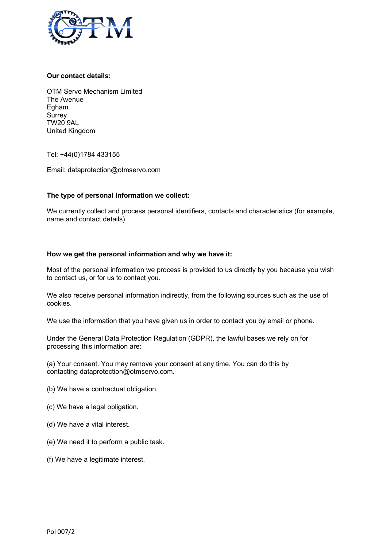

## **Our contact details:**

OTM Servo Mechanism Limited The Avenue Egham **Surrey** TW20 9AL United Kingdom

Tel: +44(0)1784 433155

Email: dataprotection@otmservo.com

### **The type of personal information we collect:**

We currently collect and process personal identifiers, contacts and characteristics (for example, name and contact details).

### **How we get the personal information and why we have it:**

Most of the personal information we process is provided to us directly by you because you wish to contact us, or for us to contact you.

We also receive personal information indirectly, from the following sources such as the use of cookies.

We use the information that you have given us in order to contact you by email or phone.

Under the General Data Protection Regulation (GDPR), the lawful bases we rely on for processing this information are:

(a) Your consent. You may remove your consent at any time. You can do this by contacting dataprotection@otmservo.com.

- (b) We have a contractual obligation.
- (c) We have a legal obligation.
- (d) We have a vital interest.
- (e) We need it to perform a public task.
- (f) We have a legitimate interest.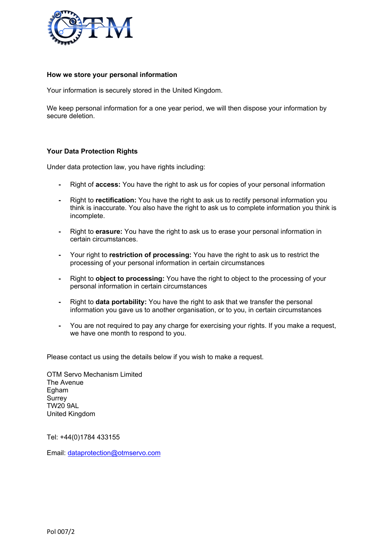

#### **How we store your personal information**

Your information is securely stored in the United Kingdom.

We keep personal information for a one year period, we will then dispose your information by secure deletion.

### **Your Data Protection Rights**

Under data protection law, you have rights including:

- Right of **access:** You have the right to ask us for copies of your personal information
- Right to **rectification:** You have the right to ask us to rectify personal information you think is inaccurate. You also have the right to ask us to complete information you think is incomplete.
- Right to **erasure:** You have the right to ask us to erase your personal information in certain circumstances.
- Your right to **restriction of processing:** You have the right to ask us to restrict the processing of your personal information in certain circumstances
- Right to **object to processing:** You have the right to object to the processing of your personal information in certain circumstances
- Right to **data portability:** You have the right to ask that we transfer the personal information you gave us to another organisation, or to you, in certain circumstances
- You are not required to pay any charge for exercising your rights. If you make a request, we have one month to respond to you.

Please contact us using the details below if you wish to make a request.

OTM Servo Mechanism Limited The Avenue Egham **Surrey** TW20 9AL United Kingdom

Tel: +44(0)1784 433155

Email: dataprotection@otmservo.com